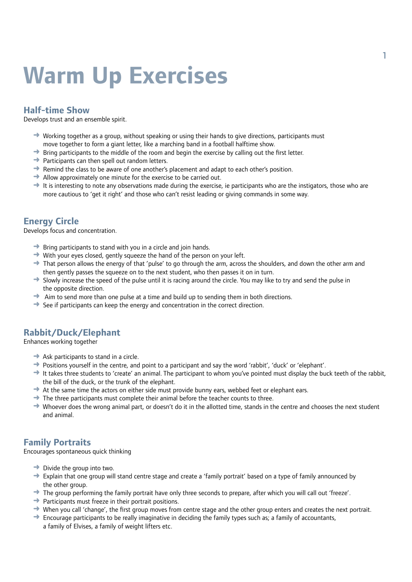# **Warm Up Exercises**

#### **Half-time Show**

Develops trust and an ensemble spirit.

- $\rightarrow$  Working together as a group, without speaking or using their hands to give directions, participants must move together to form a giant letter, like a marching band in a football halftime show.
- $\rightarrow$  Bring participants to the middle of the room and begin the exercise by calling out the first letter.
- $\rightarrow$  Participants can then spell out random letters.
- $\rightarrow$  Remind the class to be aware of one another's placement and adapt to each other's position.
- $\rightarrow$  Allow approximately one minute for the exercise to be carried out.
- $\rightarrow$  It is interesting to note any observations made during the exercise, ie participants who are the instigators, those who are more cautious to 'get it right' and those who can't resist leading or giving commands in some way.

#### **Energy Circle**

Develops focus and concentration.

- $\rightarrow$  Bring participants to stand with you in a circle and join hands.
- $\rightarrow$  With your eyes closed, gently squeeze the hand of the person on your left.
- $\rightarrow$  That person allows the energy of that 'pulse' to go through the arm, across the shoulders, and down the other arm and then gently passes the squeeze on to the next student, who then passes it on in turn.
- $\rightarrow$  Slowly increase the speed of the pulse until it is racing around the circle. You may like to try and send the pulse in the opposite direction.
- $\rightarrow$  Aim to send more than one pulse at a time and build up to sending them in both directions.
- $\rightarrow$  See if participants can keep the energy and concentration in the correct direction.

### **Rabbit/Duck/Elephant**

Enhances working together

- $\rightarrow$  Ask participants to stand in a circle.
- $\rightarrow$  Positions yourself in the centre, and point to a participant and say the word 'rabbit', 'duck' or 'elephant'.
- $\rightarrow$  It takes three students to 'create' an animal. The participant to whom you've pointed must display the buck teeth of the rabbit, the bill of the duck, or the trunk of the elephant.
- $\rightarrow$  At the same time the actors on either side must provide bunny ears, webbed feet or elephant ears.
- $\rightarrow$  The three participants must complete their animal before the teacher counts to three.
- $\rightarrow$  Whoever does the wrong animal part, or doesn't do it in the allotted time, stands in the centre and chooses the next student and animal.

#### **Family Portraits**

Encourages spontaneous quick thinking

- $\rightarrow$  Divide the group into two.
- ➜ Explain that one group will stand centre stage and create a 'family portrait' based on a type of family announced by the other group.
- $\rightarrow$  The group performing the family portrait have only three seconds to prepare, after which you will call out 'freeze'.
- $\rightarrow$  Participants must freeze in their portrait positions.
- $\rightarrow$  When you call 'change', the first group moves from centre stage and the other group enters and creates the next portrait.
- $\rightarrow$  Encourage participants to be really imaginative in deciding the family types such as; a family of accountants, a family of Elvises, a family of weight lifters etc.